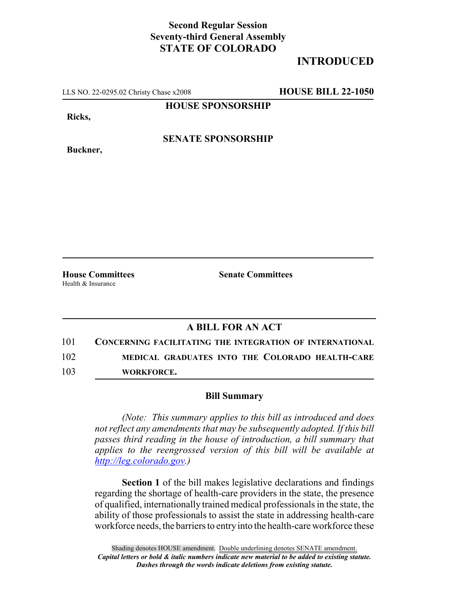## **Second Regular Session Seventy-third General Assembly STATE OF COLORADO**

# **INTRODUCED**

LLS NO. 22-0295.02 Christy Chase x2008 **HOUSE BILL 22-1050**

**HOUSE SPONSORSHIP**

**Ricks,**

**Buckner,**

**SENATE SPONSORSHIP**

Health & Insurance

**House Committees Senate Committees**

### **A BILL FOR AN ACT**

101 **CONCERNING FACILITATING THE INTEGRATION OF INTERNATIONAL** 102 **MEDICAL GRADUATES INTO THE COLORADO HEALTH-CARE**

103 **WORKFORCE.**

### **Bill Summary**

*(Note: This summary applies to this bill as introduced and does not reflect any amendments that may be subsequently adopted. If this bill passes third reading in the house of introduction, a bill summary that applies to the reengrossed version of this bill will be available at http://leg.colorado.gov.)*

**Section 1** of the bill makes legislative declarations and findings regarding the shortage of health-care providers in the state, the presence of qualified, internationally trained medical professionals in the state, the ability of those professionals to assist the state in addressing health-care workforce needs, the barriers to entry into the health-care workforce these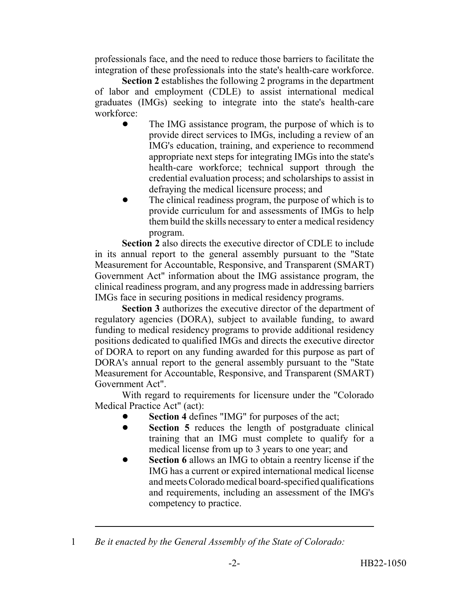professionals face, and the need to reduce those barriers to facilitate the integration of these professionals into the state's health-care workforce.

**Section 2** establishes the following 2 programs in the department of labor and employment (CDLE) to assist international medical graduates (IMGs) seeking to integrate into the state's health-care workforce:

- The IMG assistance program, the purpose of which is to provide direct services to IMGs, including a review of an IMG's education, training, and experience to recommend appropriate next steps for integrating IMGs into the state's health-care workforce; technical support through the credential evaluation process; and scholarships to assist in defraying the medical licensure process; and
- The clinical readiness program, the purpose of which is to provide curriculum for and assessments of IMGs to help them build the skills necessary to enter a medical residency program.

**Section 2** also directs the executive director of CDLE to include in its annual report to the general assembly pursuant to the "State Measurement for Accountable, Responsive, and Transparent (SMART) Government Act" information about the IMG assistance program, the clinical readiness program, and any progress made in addressing barriers IMGs face in securing positions in medical residency programs.

**Section 3** authorizes the executive director of the department of regulatory agencies (DORA), subject to available funding, to award funding to medical residency programs to provide additional residency positions dedicated to qualified IMGs and directs the executive director of DORA to report on any funding awarded for this purpose as part of DORA's annual report to the general assembly pursuant to the "State Measurement for Accountable, Responsive, and Transparent (SMART) Government Act".

With regard to requirements for licensure under the "Colorado Medical Practice Act" (act):

- Section 4 defines "IMG" for purposes of the act;
- **•** Section 5 reduces the length of postgraduate clinical training that an IMG must complete to qualify for a medical license from up to 3 years to one year; and
- **Section 6** allows an IMG to obtain a reentry license if the IMG has a current or expired international medical license and meets Colorado medical board-specified qualifications and requirements, including an assessment of the IMG's competency to practice.

<sup>1</sup> *Be it enacted by the General Assembly of the State of Colorado:*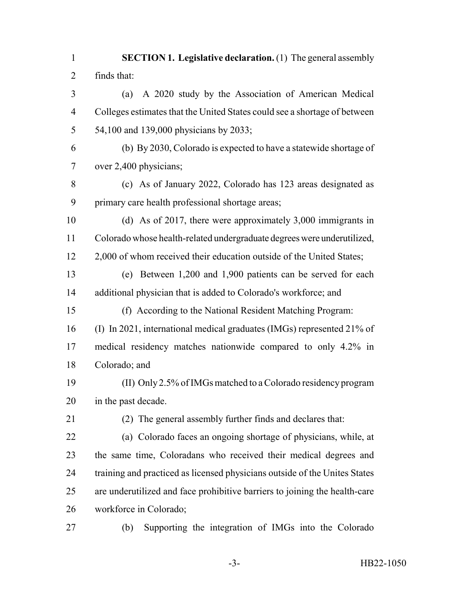**SECTION 1. Legislative declaration.** (1) The general assembly finds that: (a) A 2020 study by the Association of American Medical Colleges estimates that the United States could see a shortage of between 54,100 and 139,000 physicians by 2033; (b) By 2030, Colorado is expected to have a statewide shortage of over 2,400 physicians; (c) As of January 2022, Colorado has 123 areas designated as primary care health professional shortage areas; (d) As of 2017, there were approximately 3,000 immigrants in Colorado whose health-related undergraduate degrees were underutilized, 12 2,000 of whom received their education outside of the United States; (e) Between 1,200 and 1,900 patients can be served for each additional physician that is added to Colorado's workforce; and (f) According to the National Resident Matching Program: (I) In 2021, international medical graduates (IMGs) represented 21% of medical residency matches nationwide compared to only 4.2% in Colorado; and (II) Only 2.5% of IMGs matched to a Colorado residency program in the past decade. (2) The general assembly further finds and declares that: (a) Colorado faces an ongoing shortage of physicians, while, at the same time, Coloradans who received their medical degrees and training and practiced as licensed physicians outside of the Unites States are underutilized and face prohibitive barriers to joining the health-care workforce in Colorado;

(b) Supporting the integration of IMGs into the Colorado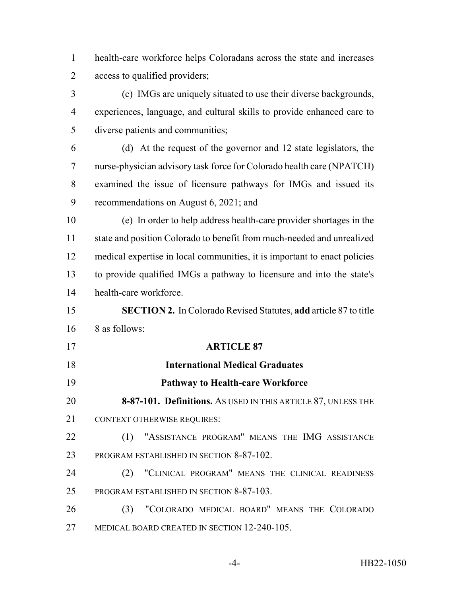health-care workforce helps Coloradans across the state and increases access to qualified providers;

 (c) IMGs are uniquely situated to use their diverse backgrounds, experiences, language, and cultural skills to provide enhanced care to diverse patients and communities;

 (d) At the request of the governor and 12 state legislators, the nurse-physician advisory task force for Colorado health care (NPATCH) examined the issue of licensure pathways for IMGs and issued its recommendations on August 6, 2021; and

 (e) In order to help address health-care provider shortages in the state and position Colorado to benefit from much-needed and unrealized medical expertise in local communities, it is important to enact policies to provide qualified IMGs a pathway to licensure and into the state's health-care workforce.

 **SECTION 2.** In Colorado Revised Statutes, **add** article 87 to title 8 as follows:

 **ARTICLE 87 International Medical Graduates Pathway to Health-care Workforce 8-87-101. Definitions.** AS USED IN THIS ARTICLE 87, UNLESS THE 21 CONTEXT OTHERWISE REQUIRES: 22 (1) "ASSISTANCE PROGRAM" MEANS THE IMG ASSISTANCE 23 PROGRAM ESTABLISHED IN SECTION 8-87-102. (2) "CLINICAL PROGRAM" MEANS THE CLINICAL READINESS 25 PROGRAM ESTABLISHED IN SECTION 8-87-103.

 (3) "COLORADO MEDICAL BOARD" MEANS THE COLORADO MEDICAL BOARD CREATED IN SECTION 12-240-105.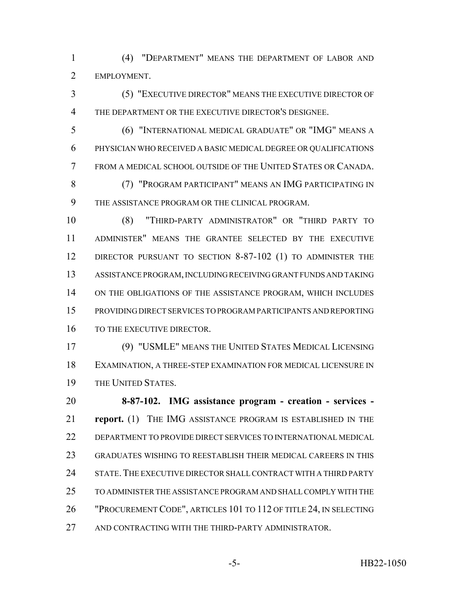(4) "DEPARTMENT" MEANS THE DEPARTMENT OF LABOR AND EMPLOYMENT.

 (5) "EXECUTIVE DIRECTOR" MEANS THE EXECUTIVE DIRECTOR OF THE DEPARTMENT OR THE EXECUTIVE DIRECTOR'S DESIGNEE.

 (6) "INTERNATIONAL MEDICAL GRADUATE" OR "IMG" MEANS A PHYSICIAN WHO RECEIVED A BASIC MEDICAL DEGREE OR QUALIFICATIONS FROM A MEDICAL SCHOOL OUTSIDE OF THE UNITED STATES OR CANADA.

 (7) "PROGRAM PARTICIPANT" MEANS AN IMG PARTICIPATING IN THE ASSISTANCE PROGRAM OR THE CLINICAL PROGRAM.

 (8) "THIRD-PARTY ADMINISTRATOR" OR "THIRD PARTY TO ADMINISTER" MEANS THE GRANTEE SELECTED BY THE EXECUTIVE 12 DIRECTOR PURSUANT TO SECTION 8-87-102 (1) TO ADMINISTER THE ASSISTANCE PROGRAM, INCLUDING RECEIVING GRANT FUNDS AND TAKING ON THE OBLIGATIONS OF THE ASSISTANCE PROGRAM, WHICH INCLUDES PROVIDING DIRECT SERVICES TO PROGRAM PARTICIPANTS AND REPORTING 16 TO THE EXECUTIVE DIRECTOR.

 (9) "USMLE" MEANS THE UNITED STATES MEDICAL LICENSING EXAMINATION, A THREE-STEP EXAMINATION FOR MEDICAL LICENSURE IN THE UNITED STATES.

 **8-87-102. IMG assistance program - creation - services - report.** (1) THE IMG ASSISTANCE PROGRAM IS ESTABLISHED IN THE DEPARTMENT TO PROVIDE DIRECT SERVICES TO INTERNATIONAL MEDICAL GRADUATES WISHING TO REESTABLISH THEIR MEDICAL CAREERS IN THIS STATE.THE EXECUTIVE DIRECTOR SHALL CONTRACT WITH A THIRD PARTY TO ADMINISTER THE ASSISTANCE PROGRAM AND SHALL COMPLY WITH THE "PROCUREMENT CODE", ARTICLES 101 TO 112 OF TITLE 24, IN SELECTING 27 AND CONTRACTING WITH THE THIRD-PARTY ADMINISTRATOR.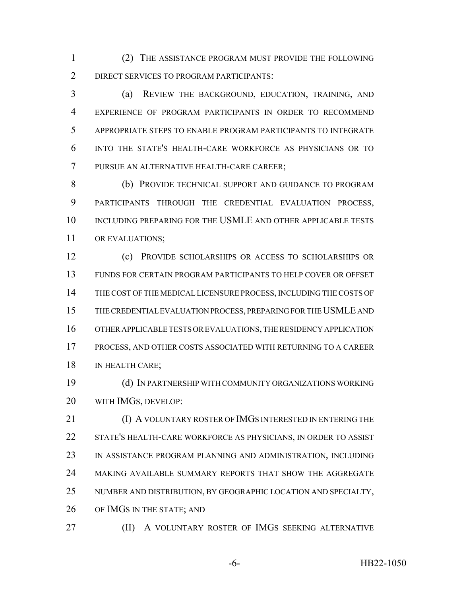(2) THE ASSISTANCE PROGRAM MUST PROVIDE THE FOLLOWING DIRECT SERVICES TO PROGRAM PARTICIPANTS:

 (a) REVIEW THE BACKGROUND, EDUCATION, TRAINING, AND EXPERIENCE OF PROGRAM PARTICIPANTS IN ORDER TO RECOMMEND APPROPRIATE STEPS TO ENABLE PROGRAM PARTICIPANTS TO INTEGRATE INTO THE STATE'S HEALTH-CARE WORKFORCE AS PHYSICIANS OR TO PURSUE AN ALTERNATIVE HEALTH-CARE CAREER;

 (b) PROVIDE TECHNICAL SUPPORT AND GUIDANCE TO PROGRAM PARTICIPANTS THROUGH THE CREDENTIAL EVALUATION PROCESS, INCLUDING PREPARING FOR THE USMLE AND OTHER APPLICABLE TESTS OR EVALUATIONS;

 (c) PROVIDE SCHOLARSHIPS OR ACCESS TO SCHOLARSHIPS OR FUNDS FOR CERTAIN PROGRAM PARTICIPANTS TO HELP COVER OR OFFSET THE COST OF THE MEDICAL LICENSURE PROCESS, INCLUDING THE COSTS OF THE CREDENTIAL EVALUATION PROCESS, PREPARING FOR THE USMLE AND OTHER APPLICABLE TESTS OR EVALUATIONS, THE RESIDENCY APPLICATION PROCESS, AND OTHER COSTS ASSOCIATED WITH RETURNING TO A CAREER 18 IN HEALTH CARE;

 (d) IN PARTNERSHIP WITH COMMUNITY ORGANIZATIONS WORKING WITH IMGS, DEVELOP:

 (I) A VOLUNTARY ROSTER OF IMGS INTERESTED IN ENTERING THE STATE'S HEALTH-CARE WORKFORCE AS PHYSICIANS, IN ORDER TO ASSIST IN ASSISTANCE PROGRAM PLANNING AND ADMINISTRATION, INCLUDING MAKING AVAILABLE SUMMARY REPORTS THAT SHOW THE AGGREGATE NUMBER AND DISTRIBUTION, BY GEOGRAPHIC LOCATION AND SPECIALTY, OF IMGS IN THE STATE; AND

**(II)** A VOLUNTARY ROSTER OF IMGS SEEKING ALTERNATIVE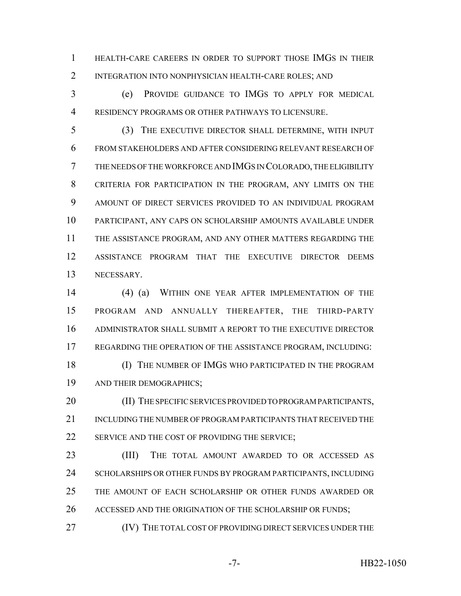HEALTH-CARE CAREERS IN ORDER TO SUPPORT THOSE IMGS IN THEIR INTEGRATION INTO NONPHYSICIAN HEALTH-CARE ROLES; AND

 (e) PROVIDE GUIDANCE TO IMGS TO APPLY FOR MEDICAL RESIDENCY PROGRAMS OR OTHER PATHWAYS TO LICENSURE.

 (3) THE EXECUTIVE DIRECTOR SHALL DETERMINE, WITH INPUT FROM STAKEHOLDERS AND AFTER CONSIDERING RELEVANT RESEARCH OF THE NEEDS OF THE WORKFORCE AND IMGS IN COLORADO, THE ELIGIBILITY CRITERIA FOR PARTICIPATION IN THE PROGRAM, ANY LIMITS ON THE AMOUNT OF DIRECT SERVICES PROVIDED TO AN INDIVIDUAL PROGRAM PARTICIPANT, ANY CAPS ON SCHOLARSHIP AMOUNTS AVAILABLE UNDER THE ASSISTANCE PROGRAM, AND ANY OTHER MATTERS REGARDING THE ASSISTANCE PROGRAM THAT THE EXECUTIVE DIRECTOR DEEMS NECESSARY.

 (4) (a) WITHIN ONE YEAR AFTER IMPLEMENTATION OF THE PROGRAM AND ANNUALLY THEREAFTER, THE THIRD-PARTY ADMINISTRATOR SHALL SUBMIT A REPORT TO THE EXECUTIVE DIRECTOR REGARDING THE OPERATION OF THE ASSISTANCE PROGRAM, INCLUDING:

 (I) THE NUMBER OF IMGS WHO PARTICIPATED IN THE PROGRAM AND THEIR DEMOGRAPHICS;

20 (II) THE SPECIFIC SERVICES PROVIDED TO PROGRAM PARTICIPANTS, INCLUDING THE NUMBER OF PROGRAM PARTICIPANTS THAT RECEIVED THE 22 SERVICE AND THE COST OF PROVIDING THE SERVICE;

23 (III) THE TOTAL AMOUNT AWARDED TO OR ACCESSED AS 24 SCHOLARSHIPS OR OTHER FUNDS BY PROGRAM PARTICIPANTS, INCLUDING THE AMOUNT OF EACH SCHOLARSHIP OR OTHER FUNDS AWARDED OR 26 ACCESSED AND THE ORIGINATION OF THE SCHOLARSHIP OR FUNDS;

(IV) THE TOTAL COST OF PROVIDING DIRECT SERVICES UNDER THE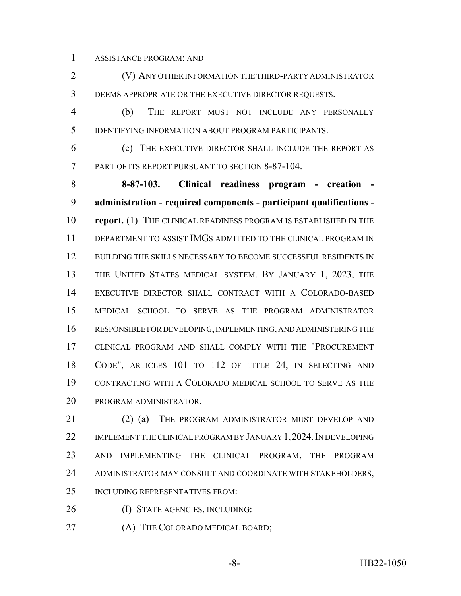ASSISTANCE PROGRAM; AND

 (V) ANY OTHER INFORMATION THE THIRD-PARTY ADMINISTRATOR DEEMS APPROPRIATE OR THE EXECUTIVE DIRECTOR REQUESTS.

 (b) THE REPORT MUST NOT INCLUDE ANY PERSONALLY IDENTIFYING INFORMATION ABOUT PROGRAM PARTICIPANTS.

 (c) THE EXECUTIVE DIRECTOR SHALL INCLUDE THE REPORT AS PART OF ITS REPORT PURSUANT TO SECTION 8-87-104.

 **8-87-103. Clinical readiness program - creation - administration - required components - participant qualifications - report.** (1) THE CLINICAL READINESS PROGRAM IS ESTABLISHED IN THE DEPARTMENT TO ASSIST IMGS ADMITTED TO THE CLINICAL PROGRAM IN 12 BUILDING THE SKILLS NECESSARY TO BECOME SUCCESSFUL RESIDENTS IN 13 THE UNITED STATES MEDICAL SYSTEM. BY JANUARY 1, 2023, THE EXECUTIVE DIRECTOR SHALL CONTRACT WITH A COLORADO-BASED MEDICAL SCHOOL TO SERVE AS THE PROGRAM ADMINISTRATOR RESPONSIBLE FOR DEVELOPING, IMPLEMENTING, AND ADMINISTERING THE CLINICAL PROGRAM AND SHALL COMPLY WITH THE "PROCUREMENT CODE", ARTICLES 101 TO 112 OF TITLE 24, IN SELECTING AND CONTRACTING WITH A COLORADO MEDICAL SCHOOL TO SERVE AS THE PROGRAM ADMINISTRATOR.

21 (2) (a) THE PROGRAM ADMINISTRATOR MUST DEVELOP AND 22 IMPLEMENT THE CLINICAL PROGRAM BY JANUARY 1, 2024. IN DEVELOPING AND IMPLEMENTING THE CLINICAL PROGRAM, THE PROGRAM 24 ADMINISTRATOR MAY CONSULT AND COORDINATE WITH STAKEHOLDERS, INCLUDING REPRESENTATIVES FROM:

(I) STATE AGENCIES, INCLUDING:

27 (A) THE COLORADO MEDICAL BOARD;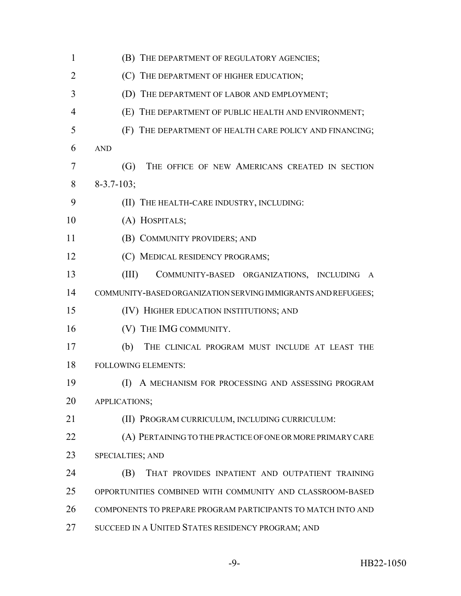| $\mathbf{1}$ | (B) THE DEPARTMENT OF REGULATORY AGENCIES;                    |
|--------------|---------------------------------------------------------------|
| 2            | (C) THE DEPARTMENT OF HIGHER EDUCATION;                       |
| 3            | (D) THE DEPARTMENT OF LABOR AND EMPLOYMENT;                   |
| 4            | (E) THE DEPARTMENT OF PUBLIC HEALTH AND ENVIRONMENT;          |
| 5            | (F) THE DEPARTMENT OF HEALTH CARE POLICY AND FINANCING;       |
| 6            | <b>AND</b>                                                    |
| 7            | (G)<br>THE OFFICE OF NEW AMERICANS CREATED IN SECTION         |
| 8            | $8 - 3.7 - 103;$                                              |
| 9            | (II) THE HEALTH-CARE INDUSTRY, INCLUDING:                     |
| 10           | (A) HOSPITALS;                                                |
| 11           | (B) COMMUNITY PROVIDERS; AND                                  |
| 12           | (C) MEDICAL RESIDENCY PROGRAMS;                               |
| 13           | (III)<br>COMMUNITY-BASED ORGANIZATIONS, INCLUDING A           |
| 14           | COMMUNITY-BASED ORGANIZATION SERVING IMMIGRANTS AND REFUGEES; |
| 15           | (IV) HIGHER EDUCATION INSTITUTIONS; AND                       |
| 16           | (V) THE IMG COMMUNITY.                                        |
| 17           | (b)<br>THE CLINICAL PROGRAM MUST INCLUDE AT LEAST THE         |
| 18           | <b>FOLLOWING ELEMENTS:</b>                                    |
| 19           | A MECHANISM FOR PROCESSING AND ASSESSING PROGRAM<br>(I)       |
| 20           | APPLICATIONS;                                                 |
| 21           | (II) PROGRAM CURRICULUM, INCLUDING CURRICULUM:                |
| 22           | (A) PERTAINING TO THE PRACTICE OF ONE OR MORE PRIMARY CARE    |
| 23           | SPECIALTIES; AND                                              |
| 24           | THAT PROVIDES INPATIENT AND OUTPATIENT TRAINING<br>(B)        |
| 25           | OPPORTUNITIES COMBINED WITH COMMUNITY AND CLASSROOM-BASED     |
| 26           | COMPONENTS TO PREPARE PROGRAM PARTICIPANTS TO MATCH INTO AND  |
| 27           | SUCCEED IN A UNITED STATES RESIDENCY PROGRAM; AND             |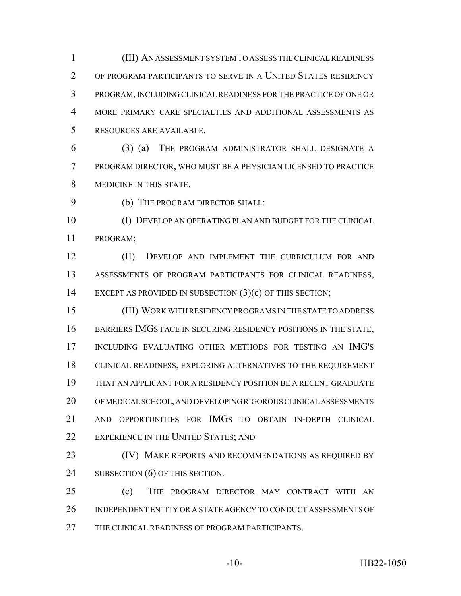(III) AN ASSESSMENT SYSTEM TO ASSESS THE CLINICAL READINESS OF PROGRAM PARTICIPANTS TO SERVE IN A UNITED STATES RESIDENCY PROGRAM, INCLUDING CLINICAL READINESS FOR THE PRACTICE OF ONE OR MORE PRIMARY CARE SPECIALTIES AND ADDITIONAL ASSESSMENTS AS RESOURCES ARE AVAILABLE.

 (3) (a) THE PROGRAM ADMINISTRATOR SHALL DESIGNATE A PROGRAM DIRECTOR, WHO MUST BE A PHYSICIAN LICENSED TO PRACTICE MEDICINE IN THIS STATE.

(b) THE PROGRAM DIRECTOR SHALL:

 (I) DEVELOP AN OPERATING PLAN AND BUDGET FOR THE CLINICAL PROGRAM;

 (II) DEVELOP AND IMPLEMENT THE CURRICULUM FOR AND ASSESSMENTS OF PROGRAM PARTICIPANTS FOR CLINICAL READINESS, 14 EXCEPT AS PROVIDED IN SUBSECTION (3)(c) OF THIS SECTION;

 (III) WORK WITH RESIDENCY PROGRAMS IN THE STATE TO ADDRESS 16 BARRIERS IMGS FACE IN SECURING RESIDENCY POSITIONS IN THE STATE, INCLUDING EVALUATING OTHER METHODS FOR TESTING AN IMG'S CLINICAL READINESS, EXPLORING ALTERNATIVES TO THE REQUIREMENT THAT AN APPLICANT FOR A RESIDENCY POSITION BE A RECENT GRADUATE OF MEDICAL SCHOOL, AND DEVELOPING RIGOROUS CLINICAL ASSESSMENTS AND OPPORTUNITIES FOR IMGS TO OBTAIN IN-DEPTH CLINICAL 22 EXPERIENCE IN THE UNITED STATES; AND

23 (IV) MAKE REPORTS AND RECOMMENDATIONS AS REQUIRED BY 24 SUBSECTION (6) OF THIS SECTION.

 (c) THE PROGRAM DIRECTOR MAY CONTRACT WITH AN INDEPENDENT ENTITY OR A STATE AGENCY TO CONDUCT ASSESSMENTS OF THE CLINICAL READINESS OF PROGRAM PARTICIPANTS.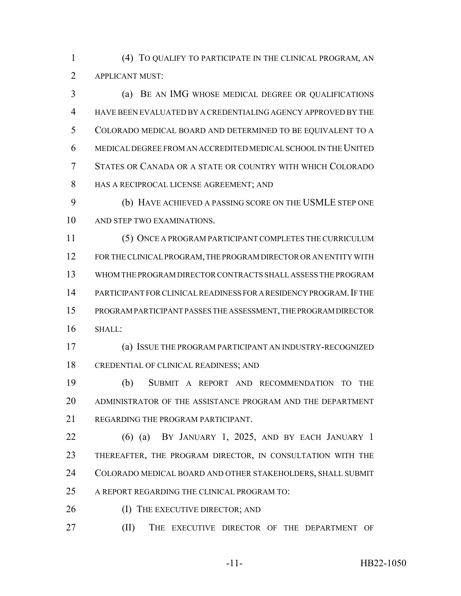(4) TO QUALIFY TO PARTICIPATE IN THE CLINICAL PROGRAM, AN APPLICANT MUST:

 (a) BE AN IMG WHOSE MEDICAL DEGREE OR QUALIFICATIONS HAVE BEEN EVALUATED BY A CREDENTIALING AGENCY APPROVED BY THE COLORADO MEDICAL BOARD AND DETERMINED TO BE EQUIVALENT TO A MEDICAL DEGREE FROM AN ACCREDITED MEDICAL SCHOOL IN THE UNITED STATES OR CANADA OR A STATE OR COUNTRY WITH WHICH COLORADO HAS A RECIPROCAL LICENSE AGREEMENT; AND

 (b) HAVE ACHIEVED A PASSING SCORE ON THE USMLE STEP ONE AND STEP TWO EXAMINATIONS.

 (5) ONCE A PROGRAM PARTICIPANT COMPLETES THE CURRICULUM FOR THE CLINICAL PROGRAM, THE PROGRAM DIRECTOR OR AN ENTITY WITH WHOM THE PROGRAM DIRECTOR CONTRACTS SHALL ASSESS THE PROGRAM PARTICIPANT FOR CLINICAL READINESS FOR A RESIDENCY PROGRAM.IF THE PROGRAM PARTICIPANT PASSES THE ASSESSMENT, THE PROGRAM DIRECTOR SHALL:

 (a) ISSUE THE PROGRAM PARTICIPANT AN INDUSTRY-RECOGNIZED CREDENTIAL OF CLINICAL READINESS; AND

 (b) SUBMIT A REPORT AND RECOMMENDATION TO THE ADMINISTRATOR OF THE ASSISTANCE PROGRAM AND THE DEPARTMENT REGARDING THE PROGRAM PARTICIPANT.

 (6) (a) BY JANUARY 1, 2025, AND BY EACH JANUARY 1 THEREAFTER, THE PROGRAM DIRECTOR, IN CONSULTATION WITH THE COLORADO MEDICAL BOARD AND OTHER STAKEHOLDERS, SHALL SUBMIT A REPORT REGARDING THE CLINICAL PROGRAM TO:

26 (I) THE EXECUTIVE DIRECTOR; AND

(II) THE EXECUTIVE DIRECTOR OF THE DEPARTMENT OF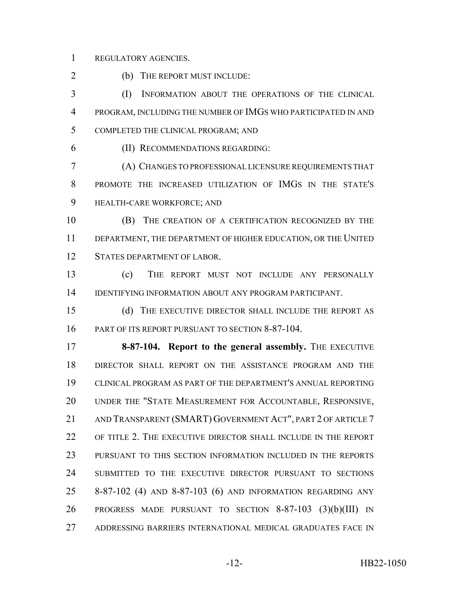REGULATORY AGENCIES.

2 (b) THE REPORT MUST INCLUDE:

 (I) INFORMATION ABOUT THE OPERATIONS OF THE CLINICAL PROGRAM, INCLUDING THE NUMBER OF IMGS WHO PARTICIPATED IN AND COMPLETED THE CLINICAL PROGRAM; AND

(II) RECOMMENDATIONS REGARDING:

 (A) CHANGES TO PROFESSIONAL LICENSURE REQUIREMENTS THAT PROMOTE THE INCREASED UTILIZATION OF IMGS IN THE STATE'S HEALTH-CARE WORKFORCE; AND

 (B) THE CREATION OF A CERTIFICATION RECOGNIZED BY THE DEPARTMENT, THE DEPARTMENT OF HIGHER EDUCATION, OR THE UNITED STATES DEPARTMENT OF LABOR.

 (c) THE REPORT MUST NOT INCLUDE ANY PERSONALLY IDENTIFYING INFORMATION ABOUT ANY PROGRAM PARTICIPANT.

 (d) THE EXECUTIVE DIRECTOR SHALL INCLUDE THE REPORT AS PART OF ITS REPORT PURSUANT TO SECTION 8-87-104.

**8-87-104. Report to the general assembly.** THE EXECUTIVE DIRECTOR SHALL REPORT ON THE ASSISTANCE PROGRAM AND THE CLINICAL PROGRAM AS PART OF THE DEPARTMENT'S ANNUAL REPORTING UNDER THE "STATE MEASUREMENT FOR ACCOUNTABLE, RESPONSIVE, 21 AND TRANSPARENT (SMART) GOVERNMENT ACT", PART 2 OF ARTICLE 7 22 OF TITLE 2. THE EXECUTIVE DIRECTOR SHALL INCLUDE IN THE REPORT PURSUANT TO THIS SECTION INFORMATION INCLUDED IN THE REPORTS SUBMITTED TO THE EXECUTIVE DIRECTOR PURSUANT TO SECTIONS 8-87-102 (4) AND 8-87-103 (6) AND INFORMATION REGARDING ANY PROGRESS MADE PURSUANT TO SECTION 8-87-103 (3)(b)(III) IN ADDRESSING BARRIERS INTERNATIONAL MEDICAL GRADUATES FACE IN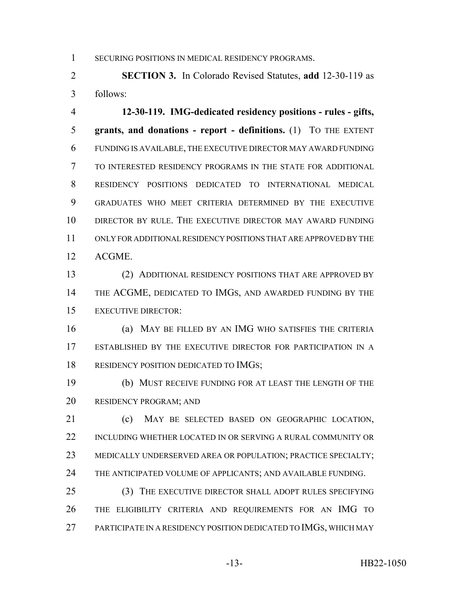1 SECURING POSITIONS IN MEDICAL RESIDENCY PROGRAMS.

 **SECTION 3.** In Colorado Revised Statutes, **add** 12-30-119 as follows:

 **12-30-119. IMG-dedicated residency positions - rules - gifts, grants, and donations - report - definitions.** (1) TO THE EXTENT FUNDING IS AVAILABLE, THE EXECUTIVE DIRECTOR MAY AWARD FUNDING TO INTERESTED RESIDENCY PROGRAMS IN THE STATE FOR ADDITIONAL RESIDENCY POSITIONS DEDICATED TO INTERNATIONAL MEDICAL GRADUATES WHO MEET CRITERIA DETERMINED BY THE EXECUTIVE DIRECTOR BY RULE. THE EXECUTIVE DIRECTOR MAY AWARD FUNDING ONLY FOR ADDITIONAL RESIDENCY POSITIONS THAT ARE APPROVED BY THE ACGME.

 (2) ADDITIONAL RESIDENCY POSITIONS THAT ARE APPROVED BY 14 THE ACGME, DEDICATED TO IMGS, AND AWARDED FUNDING BY THE EXECUTIVE DIRECTOR:

 (a) MAY BE FILLED BY AN IMG WHO SATISFIES THE CRITERIA ESTABLISHED BY THE EXECUTIVE DIRECTOR FOR PARTICIPATION IN A 18 RESIDENCY POSITION DEDICATED TO IMGS;

 (b) MUST RECEIVE FUNDING FOR AT LEAST THE LENGTH OF THE RESIDENCY PROGRAM; AND

 (c) MAY BE SELECTED BASED ON GEOGRAPHIC LOCATION, INCLUDING WHETHER LOCATED IN OR SERVING A RURAL COMMUNITY OR MEDICALLY UNDERSERVED AREA OR POPULATION; PRACTICE SPECIALTY; 24 THE ANTICIPATED VOLUME OF APPLICANTS; AND AVAILABLE FUNDING.

 (3) THE EXECUTIVE DIRECTOR SHALL ADOPT RULES SPECIFYING THE ELIGIBILITY CRITERIA AND REQUIREMENTS FOR AN IMG TO 27 PARTICIPATE IN A RESIDENCY POSITION DEDICATED TO IMGS, WHICH MAY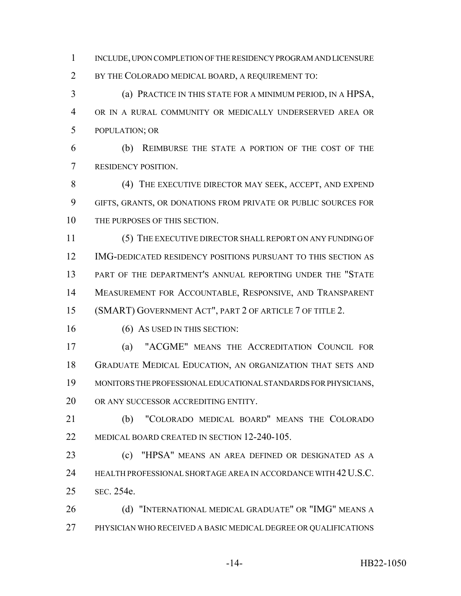INCLUDE, UPON COMPLETION OF THE RESIDENCY PROGRAM AND LICENSURE BY THE COLORADO MEDICAL BOARD, A REQUIREMENT TO:

 (a) PRACTICE IN THIS STATE FOR A MINIMUM PERIOD, IN A HPSA, OR IN A RURAL COMMUNITY OR MEDICALLY UNDERSERVED AREA OR POPULATION; OR

 (b) REIMBURSE THE STATE A PORTION OF THE COST OF THE RESIDENCY POSITION.

8 (4) THE EXECUTIVE DIRECTOR MAY SEEK, ACCEPT, AND EXPEND GIFTS, GRANTS, OR DONATIONS FROM PRIVATE OR PUBLIC SOURCES FOR 10 THE PURPOSES OF THIS SECTION.

 (5) THE EXECUTIVE DIRECTOR SHALL REPORT ON ANY FUNDING OF IMG-DEDICATED RESIDENCY POSITIONS PURSUANT TO THIS SECTION AS PART OF THE DEPARTMENT'S ANNUAL REPORTING UNDER THE "STATE MEASUREMENT FOR ACCOUNTABLE, RESPONSIVE, AND TRANSPARENT (SMART) GOVERNMENT ACT", PART 2 OF ARTICLE 7 OF TITLE 2.

16 (6) AS USED IN THIS SECTION:

 (a) "ACGME" MEANS THE ACCREDITATION COUNCIL FOR GRADUATE MEDICAL EDUCATION, AN ORGANIZATION THAT SETS AND MONITORS THE PROFESSIONAL EDUCATIONAL STANDARDS FOR PHYSICIANS, OR ANY SUCCESSOR ACCREDITING ENTITY.

 (b) "COLORADO MEDICAL BOARD" MEANS THE COLORADO 22 MEDICAL BOARD CREATED IN SECTION 12-240-105.

 (c) "HPSA" MEANS AN AREA DEFINED OR DESIGNATED AS A 24 HEALTH PROFESSIONAL SHORTAGE AREA IN ACCORDANCE WITH 42 U.S.C. SEC. 254e.

**(d) "INTERNATIONAL MEDICAL GRADUATE" OR "IMG" MEANS A** PHYSICIAN WHO RECEIVED A BASIC MEDICAL DEGREE OR QUALIFICATIONS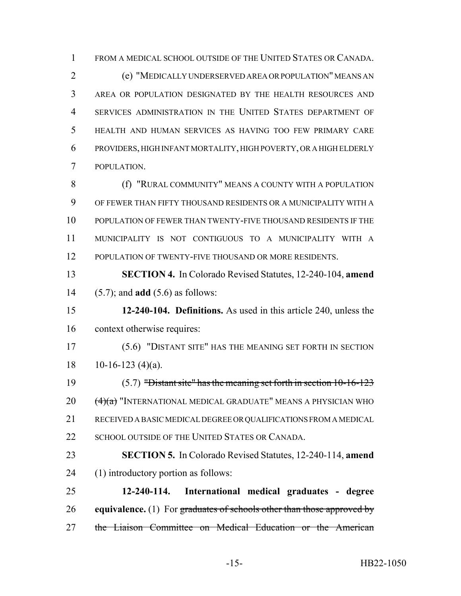FROM A MEDICAL SCHOOL OUTSIDE OF THE UNITED STATES OR CANADA.

 (e) "MEDICALLY UNDERSERVED AREA OR POPULATION" MEANS AN AREA OR POPULATION DESIGNATED BY THE HEALTH RESOURCES AND SERVICES ADMINISTRATION IN THE UNITED STATES DEPARTMENT OF HEALTH AND HUMAN SERVICES AS HAVING TOO FEW PRIMARY CARE PROVIDERS, HIGH INFANT MORTALITY, HIGH POVERTY, OR A HIGH ELDERLY POPULATION.

**(f) "RURAL COMMUNITY" MEANS A COUNTY WITH A POPULATION**  OF FEWER THAN FIFTY THOUSAND RESIDENTS OR A MUNICIPALITY WITH A POPULATION OF FEWER THAN TWENTY-FIVE THOUSAND RESIDENTS IF THE MUNICIPALITY IS NOT CONTIGUOUS TO A MUNICIPALITY WITH A 12 POPULATION OF TWENTY-FIVE THOUSAND OR MORE RESIDENTS.

 **SECTION 4.** In Colorado Revised Statutes, 12-240-104, **amend** (5.7); and **add** (5.6) as follows:

 **12-240-104. Definitions.** As used in this article 240, unless the context otherwise requires:

 (5.6) "DISTANT SITE" HAS THE MEANING SET FORTH IN SECTION 18 10-16-123 (4)(a).

 (5.7) "Distant site" has the meaning set forth in section 10-16-123  $20 \frac{(4)(a)}{100}$  "INTERNATIONAL MEDICAL GRADUATE" MEANS A PHYSICIAN WHO RECEIVED A BASIC MEDICAL DEGREE OR QUALIFICATIONS FROM A MEDICAL 22 SCHOOL OUTSIDE OF THE UNITED STATES OR CANADA.

 **SECTION 5.** In Colorado Revised Statutes, 12-240-114, **amend** (1) introductory portion as follows:

 **12-240-114. International medical graduates - degree equivalence.** (1) For graduates of schools other than those approved by 27 the Liaison Committee on Medical Education or the American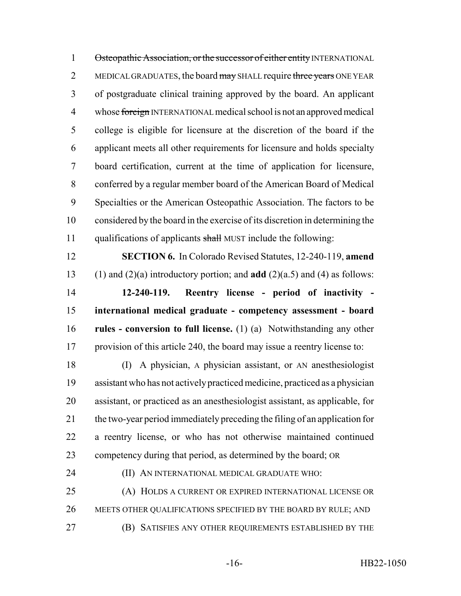1 Osteopathic Association, or the successor of either entity INTERNATIONAL 2 MEDICAL GRADUATES, the board may SHALL require three years ONE YEAR of postgraduate clinical training approved by the board. An applicant 4 whose foreign INTERNATIONAL medical school is not an approved medical college is eligible for licensure at the discretion of the board if the applicant meets all other requirements for licensure and holds specialty board certification, current at the time of application for licensure, conferred by a regular member board of the American Board of Medical Specialties or the American Osteopathic Association. The factors to be considered by the board in the exercise of its discretion in determining the 11 qualifications of applicants shall MUST include the following:

 **SECTION 6.** In Colorado Revised Statutes, 12-240-119, **amend** (1) and (2)(a) introductory portion; and **add** (2)(a.5) and (4) as follows: **12-240-119. Reentry license - period of inactivity - international medical graduate - competency assessment - board rules - conversion to full license.** (1) (a) Notwithstanding any other

provision of this article 240, the board may issue a reentry license to:

 (I) A physician, A physician assistant, or AN anesthesiologist assistant who has not actively practiced medicine, practiced as a physician assistant, or practiced as an anesthesiologist assistant, as applicable, for the two-year period immediately preceding the filing of an application for a reentry license, or who has not otherwise maintained continued competency during that period, as determined by the board; OR

### (II) AN INTERNATIONAL MEDICAL GRADUATE WHO:

 (A) HOLDS A CURRENT OR EXPIRED INTERNATIONAL LICENSE OR MEETS OTHER QUALIFICATIONS SPECIFIED BY THE BOARD BY RULE; AND (B) SATISFIES ANY OTHER REQUIREMENTS ESTABLISHED BY THE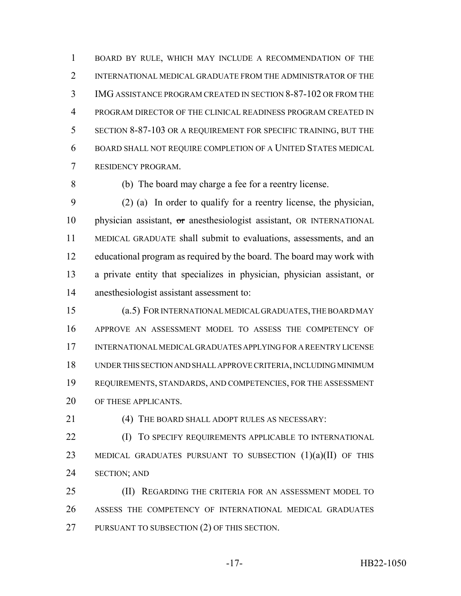BOARD BY RULE, WHICH MAY INCLUDE A RECOMMENDATION OF THE 2 INTERNATIONAL MEDICAL GRADUATE FROM THE ADMINISTRATOR OF THE IMG ASSISTANCE PROGRAM CREATED IN SECTION 8-87-102 OR FROM THE PROGRAM DIRECTOR OF THE CLINICAL READINESS PROGRAM CREATED IN SECTION 8-87-103 OR A REQUIREMENT FOR SPECIFIC TRAINING, BUT THE BOARD SHALL NOT REQUIRE COMPLETION OF A UNITED STATES MEDICAL RESIDENCY PROGRAM.

(b) The board may charge a fee for a reentry license.

 (2) (a) In order to qualify for a reentry license, the physician, 10 physician assistant, or anesthesiologist assistant, OR INTERNATIONAL MEDICAL GRADUATE shall submit to evaluations, assessments, and an educational program as required by the board. The board may work with a private entity that specializes in physician, physician assistant, or anesthesiologist assistant assessment to:

 (a.5) FOR INTERNATIONAL MEDICAL GRADUATES, THE BOARD MAY APPROVE AN ASSESSMENT MODEL TO ASSESS THE COMPETENCY OF INTERNATIONAL MEDICAL GRADUATES APPLYING FOR A REENTRY LICENSE UNDER THIS SECTION AND SHALL APPROVE CRITERIA, INCLUDING MINIMUM REQUIREMENTS, STANDARDS, AND COMPETENCIES, FOR THE ASSESSMENT 20 OF THESE APPLICANTS.

(4) THE BOARD SHALL ADOPT RULES AS NECESSARY:

**(I)** TO SPECIFY REQUIREMENTS APPLICABLE TO INTERNATIONAL 23 MEDICAL GRADUATES PURSUANT TO SUBSECTION (1)(a)(II) OF THIS SECTION; AND

25 (II) REGARDING THE CRITERIA FOR AN ASSESSMENT MODEL TO ASSESS THE COMPETENCY OF INTERNATIONAL MEDICAL GRADUATES 27 PURSUANT TO SUBSECTION (2) OF THIS SECTION.